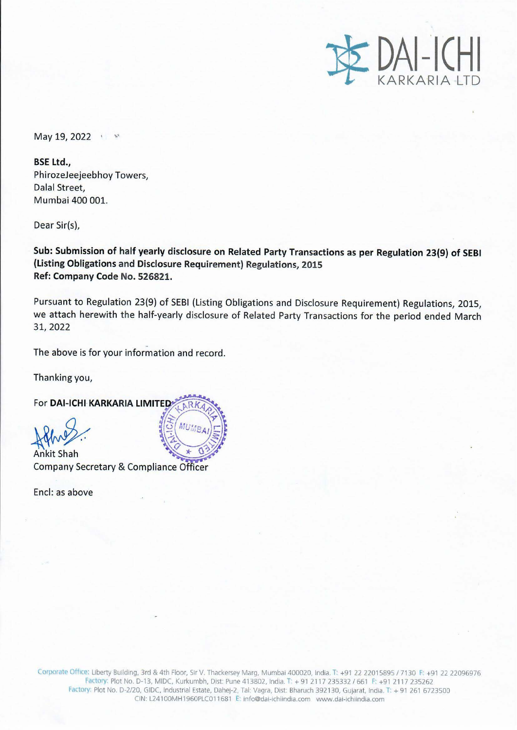

May 19, 2022 **May** 

**BSE Ltd.,**  PhirozeJeejeebhoy Towers, Dalal Street, Mumbai 400 001.

Dear Sir(s),

**Sub: Submission of half yearly disclosure on Related Party Transactions as per Regulation 23(9) of SEBI (Listing Obligations and Disclosure Requirement) Regulations, 2015 Ref: Company Code No. 526821.** 

Pursuant to Regulation 23{9} of SEBI (Listing Obligations and Disclosure Requirement) Regulations, 2015, we attach herewith the half-yearly disclosure of Related Party Transactions for the period ended March 31,2022

The above is for your information and record.

Thanking you,

**For DAI-ICHI KARKARIA LIMITED** 

For DAI-ICHI KARKARIA LIIV<br>Alixis<br>Ankit Shah

Company Secretary & Compliance Officer

Encl: as above

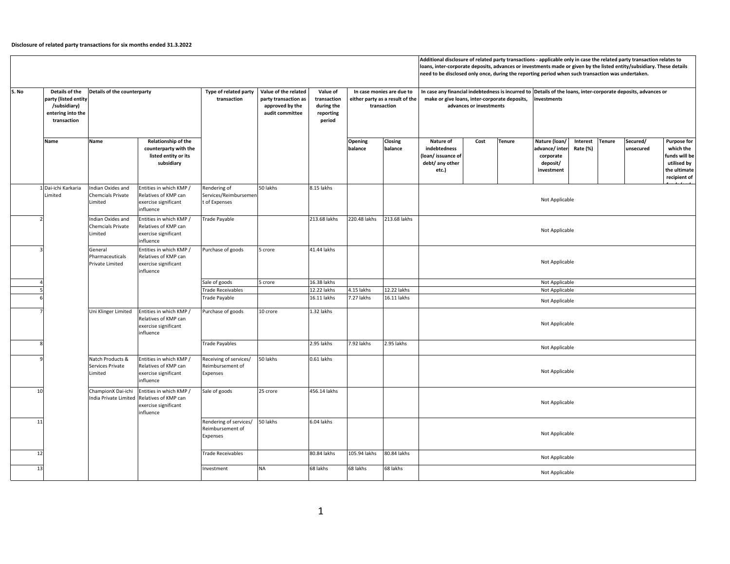## **Disclosure of related party transactions for six months ended 31.3.2022**

**Details of the party (listed entity /subsidiary) entering into the transaction Name Name Relationship of the counterparty with the listed entity or its subsidiary Opening balanceClosing balanceNature of indebtedness(loan/ issuance of debt/ any other etc.)**  $Cost$  **Tenure (loan/ advance/ inter‐ corporate deposit/ investmentInterest Rate (%) Tenure Secured/ unsecuredPurpose for which the funds will beutilised by the ultimate recipient of funds included** *(endam Dxides and Lentities in which KMP / Rendering of 50 lakhs 8.15 lakhs / 8.15 lakhs / 1999 / 1999 / 1999 / 1999 / 1999 / 1999 / 1999 / 1999 / 1999 / 1999 / 1999 / 1999 / 1999 / 1999 / 1999 / 1999* 1 Dai-ichi Karkaria Kandian Indian Oxides and Chemcials Private LimitedEntities in which KMP / Relatives of KMP can exercise significant influenceRendering of Services/Reimburseme t of Expenses 50 lakhs 8.15 lakhs 2 Indian Oxides and Chemcials Private LimitedEntities in which KMP / Relatives of KMP canexercise significant influenceTrade Payable 213.68 lakhs 220.48 lakhs 213.68 lakhs 33 3 3 General Entities in which KMP / Purchase of goods 5 crore 5 crore 41.44 lakhs 4Sale of goods 5 crore 16.38 lakhs<br>Trade Receivables 12.22 lakhs 5 Trade rade Receivables lakhs 4.15 lakhs 12.22 lakhs 6 Trade Payable 16.11 lakhs 7.27 lakhs 16.11 lakhs 77 **Purchase of goods** 10 crore 1.32 lakhs | Uni Klinger Limited | Entities in which KMP / Purchase of goods 10 crore 8 Trade Payables 2.95 lakhs 2.95 lakhs 2.95 lakhs Natch Products &Services PrivateLimitedEntities in which KMP / Relatives of KMP can exercise significant influenceReceiving of services/ Reimbursement of Expenses 50 lakhs  $0.61$  lakhs 100 ChampionX Dai-ichi Entities in which KMP / Sale of goods 25 crore 156.14 lakhs 11 Rendering of services/ Reimbursement of Expenses 50 lakhs lakhs 6.04 lakhs 12 Trade Receivables 80.84 lakhs 105.94 lakhs 80.84 lakhs 13 Investment NA 68 lakhs 68 lakhs 68 lakhs LimitedNot Applicable Not Applicable Not Applicable Not Applicable Not Applicable Not Applicable Not Applicable Not Applicable Not Applicable Not Applicable Not Applicable Not Applicable Not Applicable In case any financial indebtedness is incurred to Details of the loans, inter-corporate deposits, advances or **make or give loans, inter‐corporate deposits, investments advances or investments** Additional disclosure of related party transactions - applicable only in case the related party transaction relates to loans, inter-corporate deposits, advances or investments made or given by the listed entity/subsidiary. These details **need to be disclosed only once, during the reporting period when such transaction was undertaken. S. No Details of the counterparty Type of related party transactionValue of the related party transaction as approved by the audit committeeValue of transaction during the reporting period In case monies are due toeither party as <sup>a</sup> result of the transaction**General PharmaceuticalsPrivate LimitedRelatives of KMP canexercise significant influenceRelatives of KMP can exercise significant influenceIndia Private LimitedRelatives of KMP canexercise significant influence